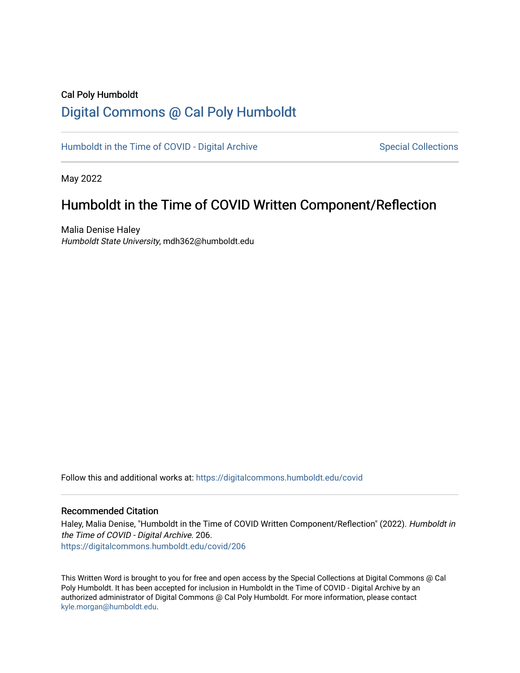### Cal Poly Humboldt [Digital Commons @ Cal Poly Humboldt](https://digitalcommons.humboldt.edu/)

[Humboldt in the Time of COVID - Digital Archive](https://digitalcommons.humboldt.edu/covid) Special Collections

May 2022

## Humboldt in the Time of COVID Written Component/Reflection

Malia Denise Haley Humboldt State University, mdh362@humboldt.edu

Follow this and additional works at: [https://digitalcommons.humboldt.edu/covid](https://digitalcommons.humboldt.edu/covid?utm_source=digitalcommons.humboldt.edu%2Fcovid%2F206&utm_medium=PDF&utm_campaign=PDFCoverPages)

#### Recommended Citation

Haley, Malia Denise, "Humboldt in the Time of COVID Written Component/Reflection" (2022). Humboldt in the Time of COVID - Digital Archive. 206. [https://digitalcommons.humboldt.edu/covid/206](https://digitalcommons.humboldt.edu/covid/206?utm_source=digitalcommons.humboldt.edu%2Fcovid%2F206&utm_medium=PDF&utm_campaign=PDFCoverPages)

This Written Word is brought to you for free and open access by the Special Collections at Digital Commons @ Cal Poly Humboldt. It has been accepted for inclusion in Humboldt in the Time of COVID - Digital Archive by an authorized administrator of Digital Commons @ Cal Poly Humboldt. For more information, please contact [kyle.morgan@humboldt.edu](mailto:kyle.morgan@humboldt.edu).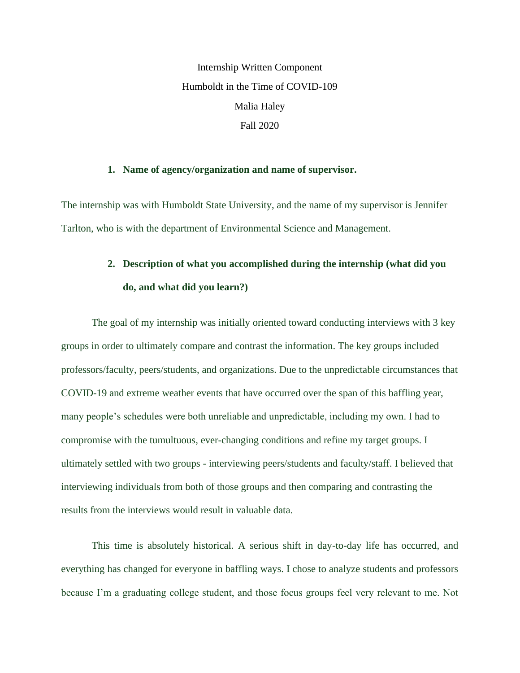Internship Written Component Humboldt in the Time of COVID-109 Malia Haley Fall 2020

#### **1. Name of agency/organization and name of supervisor.**

The internship was with Humboldt State University, and the name of my supervisor is Jennifer Tarlton, who is with the department of Environmental Science and Management.

## **2. Description of what you accomplished during the internship (what did you do, and what did you learn?)**

The goal of my internship was initially oriented toward conducting interviews with 3 key groups in order to ultimately compare and contrast the information. The key groups included professors/faculty, peers/students, and organizations. Due to the unpredictable circumstances that COVID-19 and extreme weather events that have occurred over the span of this baffling year, many people's schedules were both unreliable and unpredictable, including my own. I had to compromise with the tumultuous, ever-changing conditions and refine my target groups. I ultimately settled with two groups - interviewing peers/students and faculty/staff. I believed that interviewing individuals from both of those groups and then comparing and contrasting the results from the interviews would result in valuable data.

This time is absolutely historical. A serious shift in day-to-day life has occurred, and everything has changed for everyone in baffling ways. I chose to analyze students and professors because I'm a graduating college student, and those focus groups feel very relevant to me. Not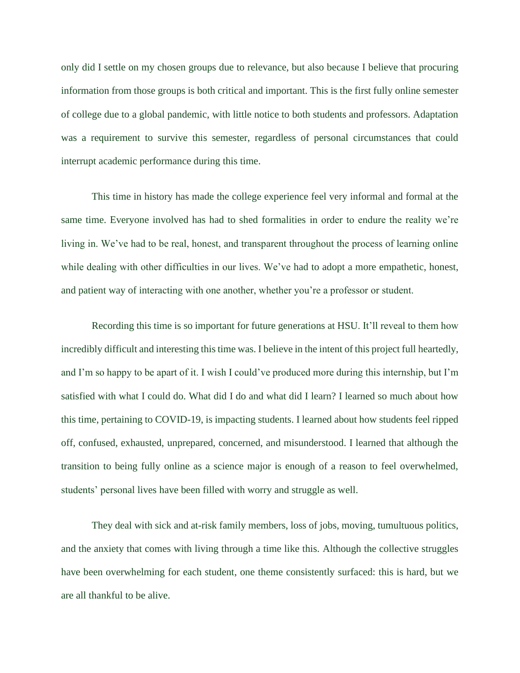only did I settle on my chosen groups due to relevance, but also because I believe that procuring information from those groups is both critical and important. This is the first fully online semester of college due to a global pandemic, with little notice to both students and professors. Adaptation was a requirement to survive this semester, regardless of personal circumstances that could interrupt academic performance during this time.

This time in history has made the college experience feel very informal and formal at the same time. Everyone involved has had to shed formalities in order to endure the reality we're living in. We've had to be real, honest, and transparent throughout the process of learning online while dealing with other difficulties in our lives. We've had to adopt a more empathetic, honest, and patient way of interacting with one another, whether you're a professor or student.

Recording this time is so important for future generations at HSU. It'll reveal to them how incredibly difficult and interesting this time was. I believe in the intent of this project full heartedly, and I'm so happy to be apart of it. I wish I could've produced more during this internship, but I'm satisfied with what I could do. What did I do and what did I learn? I learned so much about how this time, pertaining to COVID-19, is impacting students. I learned about how students feel ripped off, confused, exhausted, unprepared, concerned, and misunderstood. I learned that although the transition to being fully online as a science major is enough of a reason to feel overwhelmed, students' personal lives have been filled with worry and struggle as well.

They deal with sick and at-risk family members, loss of jobs, moving, tumultuous politics, and the anxiety that comes with living through a time like this. Although the collective struggles have been overwhelming for each student, one theme consistently surfaced: this is hard, but we are all thankful to be alive.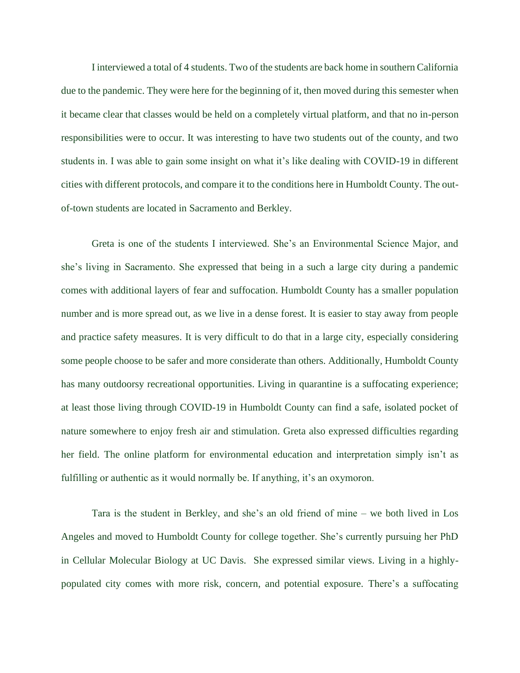I interviewed a total of 4 students. Two of the students are back home in southern California due to the pandemic. They were here for the beginning of it, then moved during this semester when it became clear that classes would be held on a completely virtual platform, and that no in-person responsibilities were to occur. It was interesting to have two students out of the county, and two students in. I was able to gain some insight on what it's like dealing with COVID-19 in different cities with different protocols, and compare it to the conditions here in Humboldt County. The outof-town students are located in Sacramento and Berkley.

Greta is one of the students I interviewed. She's an Environmental Science Major, and she's living in Sacramento. She expressed that being in a such a large city during a pandemic comes with additional layers of fear and suffocation. Humboldt County has a smaller population number and is more spread out, as we live in a dense forest. It is easier to stay away from people and practice safety measures. It is very difficult to do that in a large city, especially considering some people choose to be safer and more considerate than others. Additionally, Humboldt County has many outdoorsy recreational opportunities. Living in quarantine is a suffocating experience; at least those living through COVID-19 in Humboldt County can find a safe, isolated pocket of nature somewhere to enjoy fresh air and stimulation. Greta also expressed difficulties regarding her field. The online platform for environmental education and interpretation simply isn't as fulfilling or authentic as it would normally be. If anything, it's an oxymoron.

Tara is the student in Berkley, and she's an old friend of mine – we both lived in Los Angeles and moved to Humboldt County for college together. She's currently pursuing her PhD in Cellular Molecular Biology at UC Davis. She expressed similar views. Living in a highlypopulated city comes with more risk, concern, and potential exposure. There's a suffocating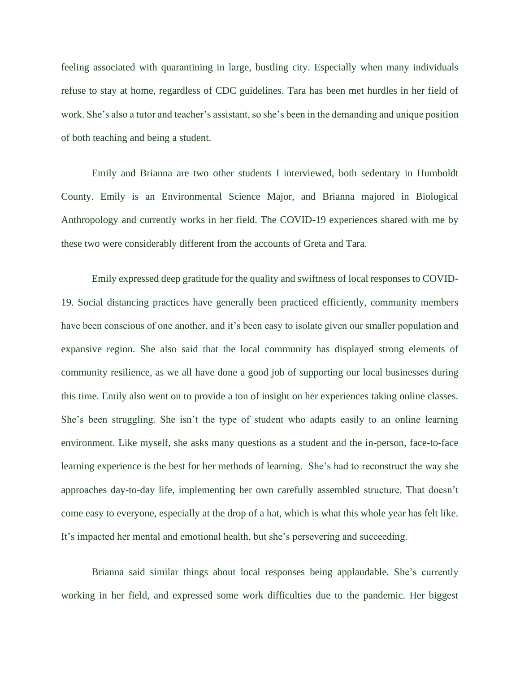feeling associated with quarantining in large, bustling city. Especially when many individuals refuse to stay at home, regardless of CDC guidelines. Tara has been met hurdles in her field of work. She's also a tutor and teacher's assistant, so she's been in the demanding and unique position of both teaching and being a student.

Emily and Brianna are two other students I interviewed, both sedentary in Humboldt County. Emily is an Environmental Science Major, and Brianna majored in Biological Anthropology and currently works in her field. The COVID-19 experiences shared with me by these two were considerably different from the accounts of Greta and Tara.

Emily expressed deep gratitude for the quality and swiftness of local responses to COVID-19. Social distancing practices have generally been practiced efficiently, community members have been conscious of one another, and it's been easy to isolate given our smaller population and expansive region. She also said that the local community has displayed strong elements of community resilience, as we all have done a good job of supporting our local businesses during this time. Emily also went on to provide a ton of insight on her experiences taking online classes. She's been struggling. She isn't the type of student who adapts easily to an online learning environment. Like myself, she asks many questions as a student and the in-person, face-to-face learning experience is the best for her methods of learning. She's had to reconstruct the way she approaches day-to-day life, implementing her own carefully assembled structure. That doesn't come easy to everyone, especially at the drop of a hat, which is what this whole year has felt like. It's impacted her mental and emotional health, but she's persevering and succeeding.

Brianna said similar things about local responses being applaudable. She's currently working in her field, and expressed some work difficulties due to the pandemic. Her biggest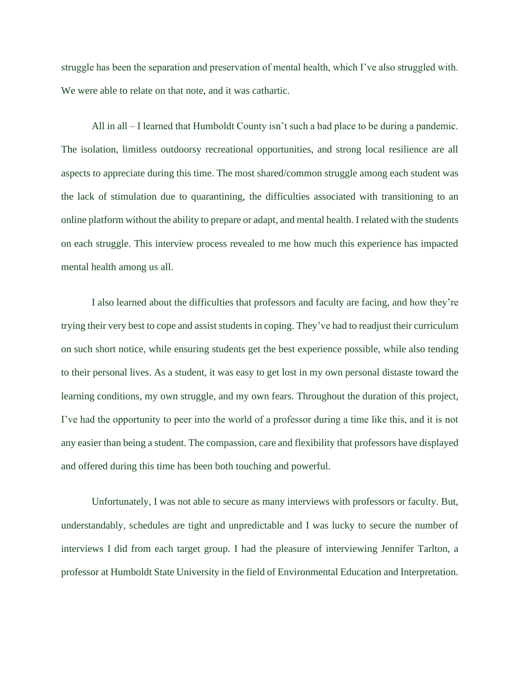struggle has been the separation and preservation of mental health, which I've also struggled with. We were able to relate on that note, and it was cathartic.

All in all – I learned that Humboldt County isn't such a bad place to be during a pandemic. The isolation, limitless outdoorsy recreational opportunities, and strong local resilience are all aspects to appreciate during this time. The most shared/common struggle among each student was the lack of stimulation due to quarantining, the difficulties associated with transitioning to an online platform without the ability to prepare or adapt, and mental health. I related with the students on each struggle. This interview process revealed to me how much this experience has impacted mental health among us all.

I also learned about the difficulties that professors and faculty are facing, and how they're trying their very best to cope and assist students in coping. They've had to readjust their curriculum on such short notice, while ensuring students get the best experience possible, while also tending to their personal lives. As a student, it was easy to get lost in my own personal distaste toward the learning conditions, my own struggle, and my own fears. Throughout the duration of this project, I've had the opportunity to peer into the world of a professor during a time like this, and it is not any easier than being a student. The compassion, care and flexibility that professors have displayed and offered during this time has been both touching and powerful.

Unfortunately, I was not able to secure as many interviews with professors or faculty. But, understandably, schedules are tight and unpredictable and I was lucky to secure the number of interviews I did from each target group. I had the pleasure of interviewing Jennifer Tarlton, a professor at Humboldt State University in the field of Environmental Education and Interpretation.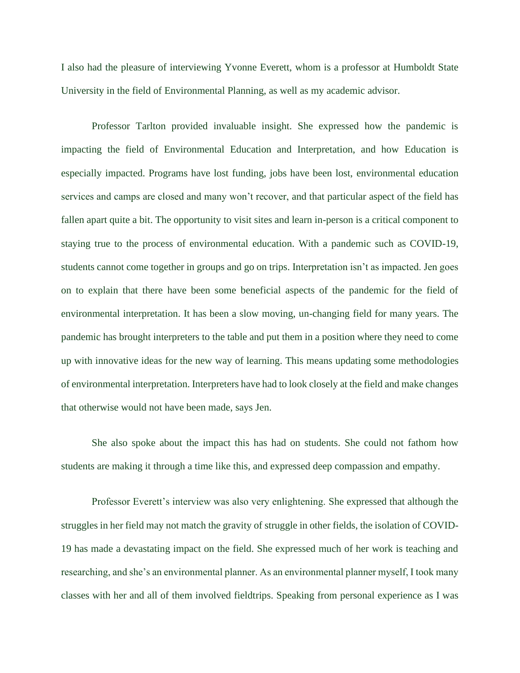I also had the pleasure of interviewing Yvonne Everett, whom is a professor at Humboldt State University in the field of Environmental Planning, as well as my academic advisor.

Professor Tarlton provided invaluable insight. She expressed how the pandemic is impacting the field of Environmental Education and Interpretation, and how Education is especially impacted. Programs have lost funding, jobs have been lost, environmental education services and camps are closed and many won't recover, and that particular aspect of the field has fallen apart quite a bit. The opportunity to visit sites and learn in-person is a critical component to staying true to the process of environmental education. With a pandemic such as COVID-19, students cannot come together in groups and go on trips. Interpretation isn't as impacted. Jen goes on to explain that there have been some beneficial aspects of the pandemic for the field of environmental interpretation. It has been a slow moving, un-changing field for many years. The pandemic has brought interpreters to the table and put them in a position where they need to come up with innovative ideas for the new way of learning. This means updating some methodologies of environmental interpretation. Interpreters have had to look closely at the field and make changes that otherwise would not have been made, says Jen.

She also spoke about the impact this has had on students. She could not fathom how students are making it through a time like this, and expressed deep compassion and empathy.

Professor Everett's interview was also very enlightening. She expressed that although the struggles in her field may not match the gravity of struggle in other fields, the isolation of COVID-19 has made a devastating impact on the field. She expressed much of her work is teaching and researching, and she's an environmental planner. As an environmental planner myself, I took many classes with her and all of them involved fieldtrips. Speaking from personal experience as I was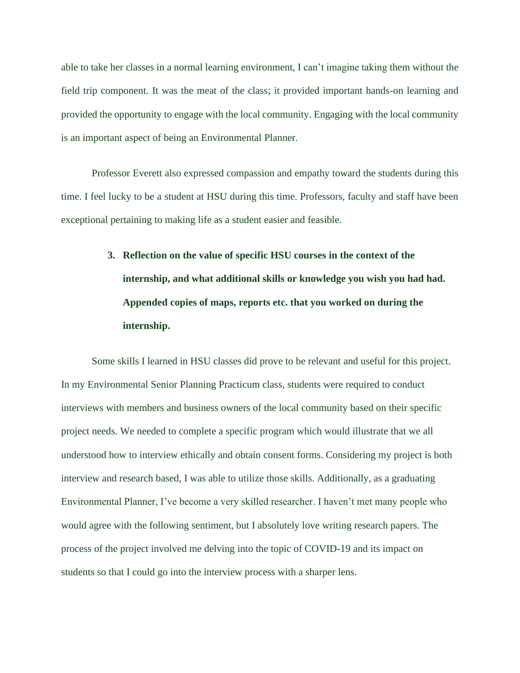able to take her classes in a normal learning environment, I can't imagine taking them without the field trip component. It was the meat of the class; it provided important hands-on learning and provided the opportunity to engage with the local community. Engaging with the local community is an important aspect of being an Environmental Planner.

Professor Everett also expressed compassion and empathy toward the students during this time. I feel lucky to be a student at HSU during this time. Professors, faculty and staff have been exceptional pertaining to making life as a student easier and feasible.

# **3. Reflection on the value of specific HSU courses in the context of the internship, and what additional skills or knowledge you wish you had had. Appended copies of maps, reports etc. that you worked on during the internship.**

Some skills I learned in HSU classes did prove to be relevant and useful for this project. In my Environmental Senior Planning Practicum class, students were required to conduct interviews with members and business owners of the local community based on their specific project needs. We needed to complete a specific program which would illustrate that we all understood how to interview ethically and obtain consent forms. Considering my project is both interview and research based, I was able to utilize those skills. Additionally, as a graduating Environmental Planner, I've become a very skilled researcher. I haven't met many people who would agree with the following sentiment, but I absolutely love writing research papers. The process of the project involved me delving into the topic of COVID-19 and its impact on students so that I could go into the interview process with a sharper lens.